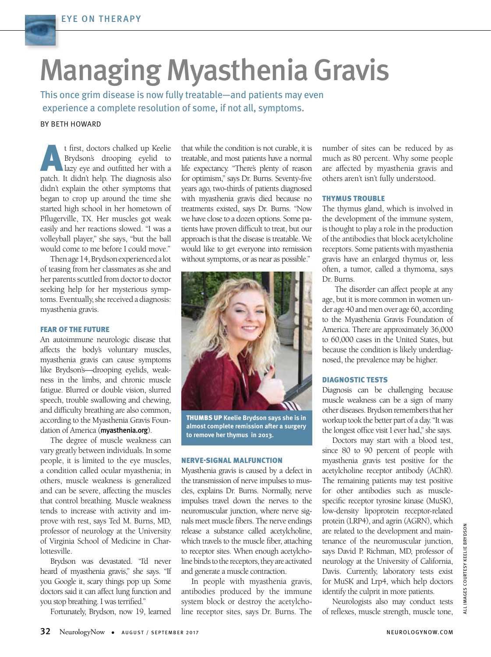## Managing Myasthenia Gravis

This once grim disease is now fully treatable—and patients may even experience a complete resolution of some, if not all, symptoms.

#### BY BETH HOWARD

t first, doctors chalked up Keelie<br>Brydson's drooping eyelid to<br>lazy eye and outfitted her with a<br>patch. It didn't help. The diagnosis also Brydson's drooping eyelid to lazy eye and outfitted her with a patch. It didn't help. The diagnosis also didn't explain the other symptoms that began to crop up around the time she started high school in her hometown of Pflugerville, TX. Her muscles got weak easily and her reactions slowed. "I was a volleyball player," she says, "but the ball would come to me before I could move."

Then age 14, Brydson experienced a lot of teasing from her classmates as she and her parents scuttled from doctor to doctor seeking help for her mysterious symptoms. Eventually, she received a diagnosis: myasthenia gravis.

#### FEAR OF THE FUTURE

An autoimmune neurologic disease that affects the body's voluntary muscles, myasthenia gravis can cause symptoms like Brydson's—drooping eyelids, weakness in the limbs, and chronic muscle fatigue. Blurred or double vision, slurred speech, trouble swallowing and chewing, and difficulty breathing are also common, according to the Myasthenia Gravis Foundation of America ([myasthenia.org](http://myasthenia.org)).

The degree of muscle weakness can vary greatly between individuals. In some people, it is limited to the eye muscles, a condition called ocular myasthenia; in others, muscle weakness is generalized and can be severe, affecting the muscles that control breathing. Muscle weakness tends to increase with activity and improve with rest, says Ted M. Burns, MD, professor of neurology at the University of Virginia School of Medicine in Charlottesville.

Brydson was devastated. "I'd never heard of myasthenia gravis," she says. "If you Google it, scary things pop up. Some doctors said it can affect lung function and you stop breathing. I was terrified."

Fortunately, Brydson, now 19, learned

that while the condition is not curable, it is treatable, and most patients have a normal life expectancy. "There's plenty of reason for optimism," says Dr. Burns. Seventy-five years ago, two-thirds of patients diagnosed with myasthenia gravis died because no treatments existed, says Dr. Burns. "Now we have close to a dozen options. Some patients have proven difficult to treat, but our approach is that the disease is treatable. We would like to get everyone into remission without symptoms, or as near as possible."



THUMBS UP **Keelie Brydson says she is in almost complete remission after a surgery to remove her thymus in 2013.**

#### NERVE-SIGNAL MALFUNCTION

Myasthenia gravis is caused by a defect in the transmission of nerve impulses to muscles, explains Dr. Burns. Normally, nerve impulses travel down the nerves to the neuromuscular junction, where nerve signals meet muscle fibers. The nerve endings release a substance called acetylcholine, which travels to the muscle fiber, attaching to receptor sites. When enough acetylcholine binds to the receptors, they are activated and generate a muscle contraction.

In people with myasthenia gravis, antibodies produced by the immune system block or destroy the acetylcholine receptor sites, says Dr. Burns. The

number of sites can be reduced by as much as 80 percent. Why some people are affected by myasthenia gravis and others aren't isn't fully understood.

#### THYMUS TROUBLE

The thymus gland, which is involved in the development of the immune system, is thought to play a role in the production of the antibodies that block acetylcholine receptors. Some patients with myasthenia gravis have an enlarged thymus or, less often, a tumor, called a thymoma, says Dr. Burns.

 The disorder can affect people at any age, but it is more common in women under age 40 and men over age 60, according to the Myasthenia Gravis Foundation of America. There are approximately 36,000 to 60,000 cases in the United States, but because the condition is likely underdiagnosed, the prevalence may be higher.

#### DIAGNOSTIC TESTS

Diagnosis can be challenging because muscle weakness can be a sign of many other diseases. Brydson remembers that her workup took the better part of a day. "It was the longest office visit I ever had," she says.

Doctors may start with a blood test, since 80 to 90 percent of people with myasthenia gravis test positive for the acetylcholine receptor antibody (AChR). The remaining patients may test positive for other antibodies such as musclespecific receptor tyrosine kinase (MuSK), low-density lipoprotein receptor-related protein (LRP4), and agrin (AGRN), which are related to the development and maintenance of the neuromuscular junction, says David P. Richman, MD, professor of neurology at the University of California, Davis. Currently, laboratory tests exist for MuSK and Lrp4, which help doctors identify the culprit in more patients.

Neurologists also may conduct tests of reflexes, muscle strength, muscle tone,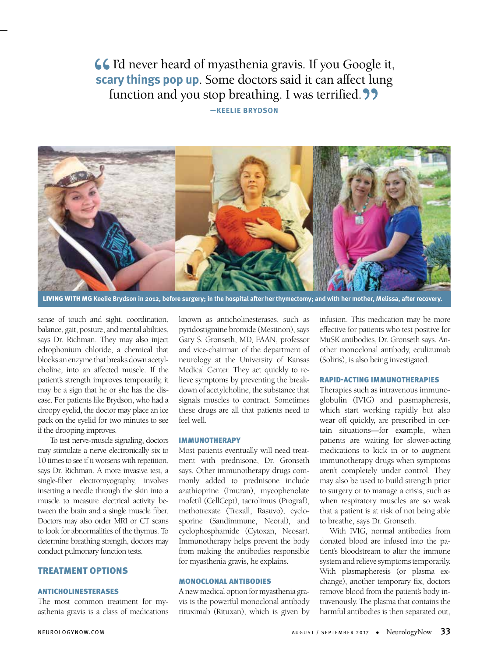**66** I'd never heard of myasthenia gravis. If you Google it, **scary things pop up**. Some doctors said it can affect lung function and you stop breathing. I was terrified.  $\sum_{k}$ 

**—KEELIE BRYDSON**



LIVING WITH MG **Keelie Brydson in 2012, before surgery; in the hospital after her thymectomy; and with her mother, Melissa, after recovery.**

sense of touch and sight, coordination, balance, gait, posture, and mental abilities, says Dr. Richman. They may also inject edrophonium chloride, a chemical that blocks an enzyme that breaks down acetylcholine, into an affected muscle. If the patient's strength improves temporarily, it may be a sign that he or she has the disease. For patients like Brydson, who had a droopy eyelid, the doctor may place an ice pack on the eyelid for two minutes to see if the drooping improves.

 To test nerve-muscle signaling, doctors may stimulate a nerve electronically six to 10 times to see if it worsens with repetition, says Dr. Richman. A more invasive test, a single-fiber electromyography, involves inserting a needle through the skin into a muscle to measure electrical activity between the brain and a single muscle fiber. Doctors may also order MRI or CT scans to look for abnormalities of the thymus. To determine breathing strength, doctors may conduct pulmonary function tests.

#### TREATMENT OPTIONS

#### ANTICHOLINESTERASES

The most common treatment for myasthenia gravis is a class of medications

known as anticholinesterases, such as pyridostigmine bromide (Mestinon), says Gary S. Gronseth, MD, FAAN, professor and vice-chairman of the department of neurology at the University of Kansas Medical Center. They act quickly to relieve symptoms by preventing the breakdown of acetylcholine, the substance that signals muscles to contract. Sometimes these drugs are all that patients need to feel well.

#### IMMUNOTHERAPY

Most patients eventually will need treatment with prednisone, Dr. Gronseth says. Other immunotherapy drugs commonly added to prednisone include azathioprine (Imuran), mycophenolate mofetil (CellCept), tacrolimus (Prograf), methotrexate (Trexall, Rasuvo), cyclosporine (Sandimmune, Neoral), and cyclophosphamide (Cytoxan, Neosar). Immunotherapy helps prevent the body from making the antibodies responsible for myasthenia gravis, he explains.

#### MONOCLONAL ANTIBODIES

A new medical option for myasthenia gravis is the powerful monoclonal antibody rituximab (Rituxan), which is given by

infusion. This medication may be more effective for patients who test positive for MuSK antibodies, Dr. Gronseth says. Another monoclonal antibody, eculizumab (Soliris), is also being investigated.

#### RAPID-ACTING IMMUNOTHERAPIES

Therapies such as intravenous immunoglobulin (IVIG) and plasmapheresis, which start working rapidly but also wear off quickly, are prescribed in certain situations—for example, when patients are waiting for slower-acting medications to kick in or to augment immunotherapy drugs when symptoms aren't completely under control. They may also be used to build strength prior to surgery or to manage a crisis, such as when respiratory muscles are so weak that a patient is at risk of not being able to breathe, says Dr. Gronseth.

With IVIG, normal antibodies from donated blood are infused into the patient's bloodstream to alter the immune system and relieve symptoms temporarily. With plasmapheresis (or plasma exchange), another temporary fix, doctors remove blood from the patient's body intravenously. The plasma that contains the harmful antibodies is then separated out,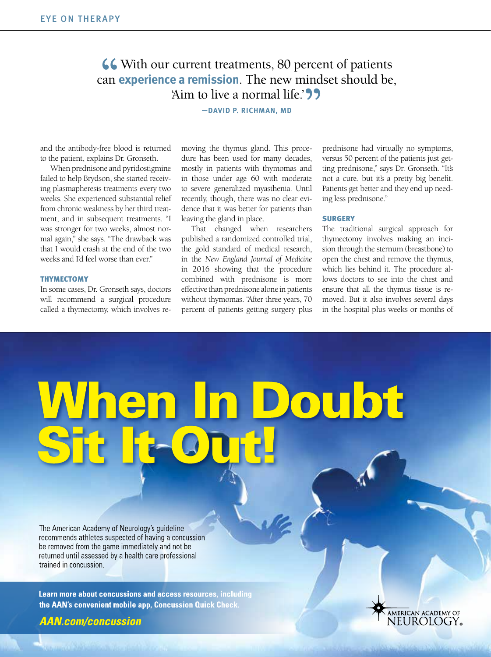### 66 With our current treatments, 80 percent of patients can **experience a remission**. The new mindset should be, 'Aim to live a normal life.' $\frac{1}{2}$

**—DAVID P. RICHMAN, MD**

and the antibody-free blood is returned to the patient, explains Dr. Gronseth.

When prednisone and pyridostigmine failed to help Brydson, she started receiving plasmapheresis treatments every two weeks. She experienced substantial relief from chronic weakness by her third treatment, and in subsequent treatments. "I was stronger for two weeks, almost normal again," she says. "The drawback was that I would crash at the end of the two weeks and I'd feel worse than ever."

#### THYMECTOMY

In some cases, Dr. Gronseth says, doctors will recommend a surgical procedure

moving the thymus gland. This procedure has been used for many decades, mostly in patients with thymomas and in those under age 60 with moderate to severe generalized myasthenia. Until recently, though, there was no clear evidence that it was better for patients than leaving the gland in place.

called a thymectomy, which involves re-<br>percent of patients getting surgery plus in the hospital plus weeks or months of That changed when researchers published a randomized controlled trial, the gold standard of medical research, in the *New England Journal of Medicine* in 2016 showing that the procedure combined with prednisone is more effective than prednisone alone in patients without thymomas. "After three years, 70 percent of patients getting surgery plus

prednisone had virtually no symptoms, versus 50 percent of the patients just getting prednisone," says Dr. Gronseth. "It's not a cure, but it's a pretty big benefit. Patients get better and they end up needing less prednisone."

#### **SURGERY**

The traditional surgical approach for thymectomy involves making an incision through the sternum (breastbone) to open the chest and remove the thymus, which lies behind it. The procedure allows doctors to see into the chest and ensure that all the thymus tissue is removed. But it also involves several days

# When In Doubt

The American Academy of Neurology's guideline recommends athletes suspected of having a concussion be removed from the game immediately and not be returned until assessed by a health care professional trained in concussion.

Learn more about concussions and access resources, including the AAN's convenient mobile app, Concussion Quick Check.